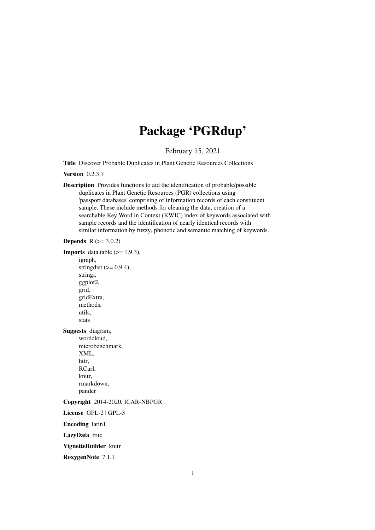# Package 'PGRdup'

February 15, 2021

<span id="page-0-0"></span>Title Discover Probable Duplicates in Plant Genetic Resources Collections

Version 0.2.3.7

Description Provides functions to aid the identification of probable/possible duplicates in Plant Genetic Resources (PGR) collections using 'passport databases' comprising of information records of each constituent sample. These include methods for cleaning the data, creation of a searchable Key Word in Context (KWIC) index of keywords associated with sample records and the identification of nearly identical records with similar information by fuzzy, phonetic and semantic matching of keywords.

**Depends**  $R$  ( $>= 3.0.2$ )

**Imports** data.table  $(>= 1.9.3)$ ,

igraph, stringdist  $(>= 0.9.4)$ , stringi, ggplot2, grid, gridExtra, methods, utils, stats Suggests diagram, wordcloud, microbenchmark, XML, httr, RCurl, knitr, rmarkdown, pander Copyright 2014-2020, ICAR-NBPGR License GPL-2 | GPL-3 Encoding latin1 LazyData true VignetteBuilder knitr RoxygenNote 7.1.1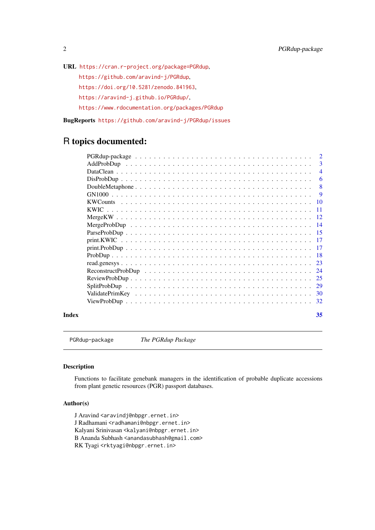URL <https://cran.r-project.org/package=PGRdup>,

<https://github.com/aravind-j/PGRdup>,

<https://doi.org/10.5281/zenodo.841963>, <https://aravind-j.github.io/PGRdup/>,

<https://www.rdocumentation.org/packages/PGRdup>

BugReports <https://github.com/aravind-j/PGRdup/issues>

# R topics documented:

|     | 3              |
|-----|----------------|
|     | $\overline{A}$ |
|     | 6              |
|     | 8              |
|     | -9             |
| 10  |                |
| -11 |                |
| -12 |                |
| -14 |                |
| -15 |                |
|     |                |
| -17 |                |
| -18 |                |
| 23  |                |
| 24  |                |
| 25  |                |
| 29  |                |
| 30  |                |
| 32  |                |
|     |                |

#### **Index** [35](#page-34-0)

PGRdup-package *The PGRdup Package*

# Description

Functions to facilitate genebank managers in the identification of probable duplicate accessions from plant genetic resources (PGR) passport databases.

# Author(s)

J Aravind <aravindj@nbpgr.ernet.in> J Radhamani <radhamani@nbpgr.ernet.in> Kalyani Srinivasan <kalyani@nbpgr.ernet.in> B Ananda Subhash <anandasubhash@gmail.com> RK Tyagi <rktyagi@nbpgr.ernet.in>

<span id="page-1-0"></span>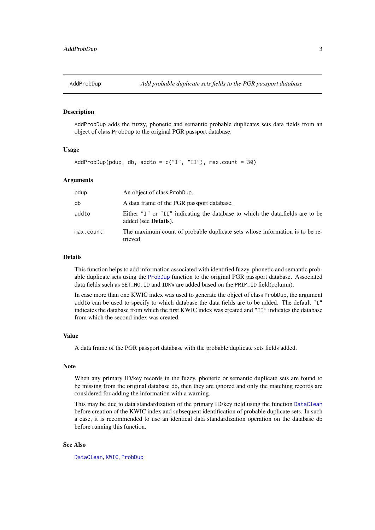<span id="page-2-1"></span><span id="page-2-0"></span>

#### Description

AddProbDup adds the fuzzy, phonetic and semantic probable duplicates sets data fields from an object of class ProbDup to the original PGR passport database.

#### Usage

```
AddProbDup(pdup, db, addto = c("I", "II"), max.count = 30)
```
#### Arguments

| pdup      | An object of class ProbDup.                                                                                   |
|-----------|---------------------------------------------------------------------------------------------------------------|
| db        | A data frame of the PGR passport database.                                                                    |
| addto     | Either "I" or "II" indicating the database to which the data.fields are to be<br>added (see <b>Details</b> ). |
| max.count | The maximum count of probable duplicate sets whose information is to be re-<br>trieved.                       |

#### Details

This function helps to add information associated with identified fuzzy, phonetic and semantic probable duplicate sets using the [ProbDup](#page-17-1) function to the original PGR passport database. Associated data fields such as SET\_NO, ID and IDKW are added based on the PRIM\_ID field(column).

In case more than one KWIC index was used to generate the object of class ProbDup, the argument addto can be used to specify to which database the data fields are to be added. The default "I" indicates the database from which the first KWIC index was created and "II" indicates the database from which the second index was created.

#### Value

A data frame of the PGR passport database with the probable duplicate sets fields added.

#### Note

When any primary ID/key records in the fuzzy, phonetic or semantic duplicate sets are found to be missing from the original database db, then they are ignored and only the matching records are considered for adding the information with a warning.

This may be due to data standardization of the primary ID/key field using the function [DataClean](#page-3-1) before creation of the KWIC index and subsequent identification of probable duplicate sets. In such a case, it is recommended to use an identical data standardization operation on the database db before running this function.

#### See Also

[DataClean](#page-3-1), [KWIC](#page-10-1), [ProbDup](#page-17-1)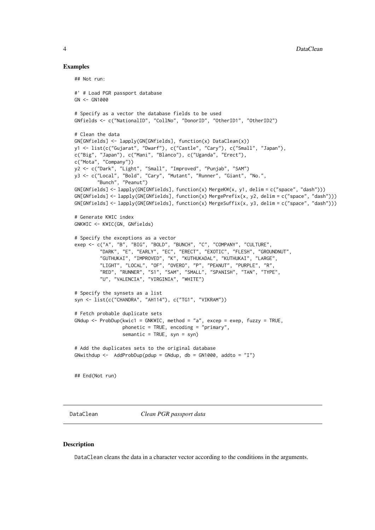#### Examples

```
## Not run:
#' # Load PGR passport database
GN <- GN1000
# Specify as a vector the database fields to be used
GNfields <- c("NationalID", "CollNo", "DonorID", "OtherID1", "OtherID2")
# Clean the data
GN[GNfields] <- lapply(GN[GNfields], function(x) DataClean(x))
y1 <- list(c("Gujarat", "Dwarf"), c("Castle", "Cary"), c("Small", "Japan"),
c("Big", "Japan"), c("Mani", "Blanco"), c("Uganda", "Erect"),
c("Mota", "Company"))
y2 <- c("Dark", "Light", "Small", "Improved", "Punjab", "SAM")
y3 <- c("Local", "Bold", "Cary", "Mutant", "Runner", "Giant", "No.",
        "Bunch", "Peanut")
GN[GNfields] <- lapply(GN[GNfields], function(x) MergeKW(x, y1, delim = c("space", "dash")))
GN[GNfields] <- lapply(GN[GNfields], function(x) MergePrefix(x, y2, delim = c("space", "dash")))
GN[GNfields] <- lapply(GN[GNfields], function(x) MergeSuffix(x, y3, delim = c("space", "dash")))
# Generate KWIC index
GNKWIC <- KWIC(GN, GNfields)
# Specify the exceptions as a vector
exep <- c("A", "B", "BIG", "BOLD", "BUNCH", "C", "COMPANY", "CULTURE",
         "DARK", "E", "EARLY", "EC", "ERECT", "EXOTIC", "FLESH", "GROUNDNUT",
         "GUTHUKAI", "IMPROVED", "K", "KUTHUKADAL", "KUTHUKAI", "LARGE",
         "LIGHT", "LOCAL", "OF", "OVERO", "P", "PEANUT", "PURPLE", "R",
         "RED", "RUNNER", "S1", "SAM", "SMALL", "SPANISH", "TAN", "TYPE",
         "U", "VALENCIA", "VIRGINIA", "WHITE")
# Specify the synsets as a list
syn <- list(c("CHANDRA", "AH114"), c("TG1", "VIKRAM"))
# Fetch probable duplicate sets
GNdup \leq ProbDup(kwic1 = GNKWIC, method = "a", excep = exep, fuzzy = TRUE,
                 phonetic = TRUE, encoding = "primary",
                 semantic = TRUE, syn = syn)
# Add the duplicates sets to the original database
GNwithdup \le - AddProbDup(pdup = GNdup, db = GN1000, addto = "I")
## End(Not run)
```
<span id="page-3-1"></span>DataClean *Clean PGR passport data*

#### Description

DataClean cleans the data in a character vector according to the conditions in the arguments.

<span id="page-3-0"></span>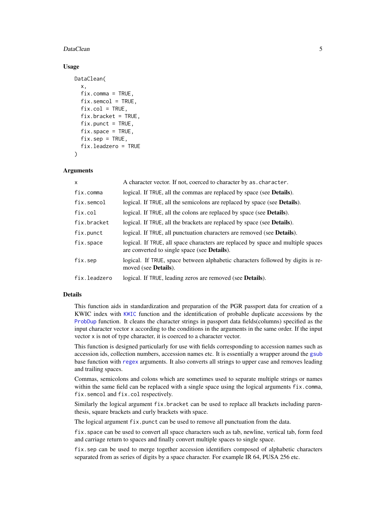#### <span id="page-4-0"></span>DataClean 5

#### Usage

```
DataClean(
  x,
  fix.comma = TRUE,fix.semcol = TRUE,fix,col = TRUE,fix.bracket = TRUE,
  fix.punct = TRUE,
  fix.space = TRUE,
  fix.\,\text{sep} = \text{TRUE},
  fix.leadzero = TRUE
)
```
#### Arguments

| $\mathsf{x}$ | A character vector. If not, coerced to character by as . character.                                                              |
|--------------|----------------------------------------------------------------------------------------------------------------------------------|
| fix.comma    | logical. If TRUE, all the commas are replaced by space (see <b>Details</b> ).                                                    |
| fix.semcol   | logical. If TRUE, all the semicolons are replaced by space (see Details).                                                        |
| fix.col      | logical. If TRUE, all the colons are replaced by space (see <b>Details</b> ).                                                    |
| fix.bracket  | logical. If TRUE, all the brackets are replaced by space (see <b>Details</b> ).                                                  |
| fix.punct    | logical. If TRUE, all punctuation characters are removed (see <b>Details</b> ).                                                  |
| fix.space    | logical. If TRUE, all space characters are replaced by space and multiple spaces<br>are converted to single space (see Details). |
| fix.sep      | logical. If TRUE, space between alphabetic characters followed by digits is re-<br>moved (see <b>Details</b> ).                  |
| fix.leadzero | logical. If TRUE, leading zeros are removed (see <b>Details</b> ).                                                               |

# Details

This function aids in standardization and preparation of the PGR passport data for creation of a KWIC index with [KWIC](#page-10-1) function and the identification of probable duplicate accessions by the [ProbDup](#page-17-1) function. It cleans the character strings in passport data fields(columns) specified as the input character vector x according to the conditions in the arguments in the same order. If the input vector x is not of type character, it is coerced to a character vector.

This function is designed particularly for use with fields corresponding to accession names such as accession ids, collection numbers, accession names etc. It is essentially a wrapper around the [gsub](#page-0-0) base function with [regex](#page-0-0) arguments. It also converts all strings to upper case and removes leading and trailing spaces.

Commas, semicolons and colons which are sometimes used to separate multiple strings or names within the same field can be replaced with a single space using the logical arguments fix.comma, fix.semcol and fix.col respectively.

Similarly the logical argument fix.bracket can be used to replace all brackets including parenthesis, square brackets and curly brackets with space.

The logical argument fix.punct can be used to remove all punctuation from the data.

fix.space can be used to convert all space characters such as tab, newline, vertical tab, form feed and carriage return to spaces and finally convert multiple spaces to single space.

fix.sep can be used to merge together accession identifiers composed of alphabetic characters separated from as series of digits by a space character. For example IR 64, PUSA 256 etc.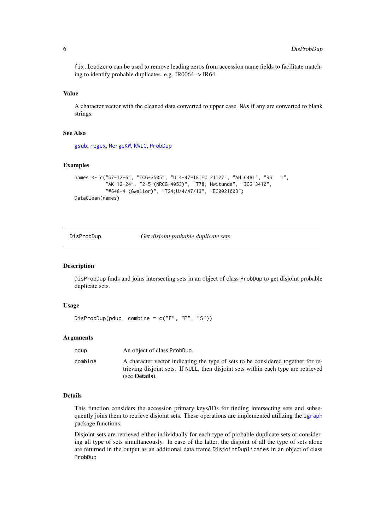fix.leadzero can be used to remove leading zeros from accession name fields to facilitate matching to identify probable duplicates. e.g. IR0064 -> IR64

#### Value

A character vector with the cleaned data converted to upper case. NAs if any are converted to blank strings.

### See Also

[gsub](#page-0-0), [regex](#page-0-0), [MergeKW](#page-11-1), [KWIC](#page-10-1), [ProbDup](#page-17-1)

#### Examples

```
names <- c("S7-12-6", "ICG-3505", "U 4-47-18;EC 21127", "AH 6481", "RS 1",
           "AK 12-24", "2-5 (NRCG-4053)", "T78, Mwitunde", "ICG 3410",
           "#648-4 (Gwalior)", "TG4;U/4/47/13", "EC0021003")
DataClean(names)
```
DisProbDup *Get disjoint probable duplicate sets*

#### Description

DisProbDup finds and joins intersecting sets in an object of class ProbDup to get disjoint probable duplicate sets.

#### Usage

```
DisProbDup(pdup, combine = c("F", "P", "S"))
```
# Arguments

| pdup    | An object of class ProbDup.                                                                                                                                                                      |
|---------|--------------------------------------------------------------------------------------------------------------------------------------------------------------------------------------------------|
| combine | A character vector indicating the type of sets to be considered together for re-<br>trieving disjoint sets. If NULL, then disjoint sets within each type are retrieved<br>(see <b>Details</b> ). |

### Details

This function considers the accession primary keys/IDs for finding intersecting sets and subsequently joins them to retrieve disjoint sets. These operations are implemented utilizing the [igraph](#page-0-0) package functions.

Disjoint sets are retrieved either individually for each type of probable duplicate sets or considering all type of sets simultaneously. In case of the latter, the disjoint of all the type of sets alone are returned in the output as an additional data frame DisjointDuplicates in an object of class ProbDup

<span id="page-5-0"></span>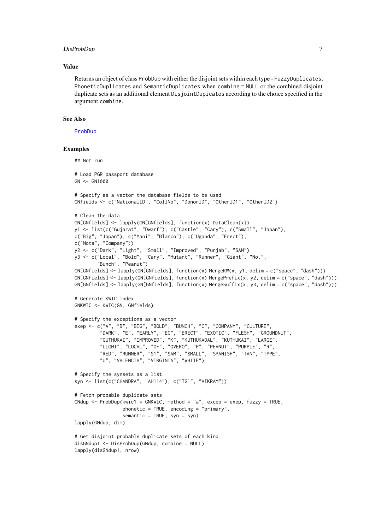#### <span id="page-6-0"></span>DisProbDup 7

#### Value

Returns an object of class ProbDup with either the disjoint sets within each type - FuzzyDuplicates, PhoneticDuplicates and SemanticDuplicates when combine = NULL or the combined disjoint duplicate sets as an additional element DisjointDupicates according to the choice specified in the argument combine.

# See Also

[ProbDup](#page-17-1)

```
## Not run:
# Load PGR passport database
GN <- GN1000
# Specify as a vector the database fields to be used
GNfields <- c("NationalID", "CollNo", "DonorID", "OtherID1", "OtherID2")
# Clean the data
GN[GNfields] <- lapply(GN[GNfields], function(x) DataClean(x))
y1 <- list(c("Gujarat", "Dwarf"), c("Castle", "Cary"), c("Small", "Japan"),
c("Big", "Japan"), c("Mani", "Blanco"), c("Uganda", "Erect"),
c("Mota", "Company"))
y2 <- c("Dark", "Light", "Small", "Improved", "Punjab", "SAM")
y3 <- c("Local", "Bold", "Cary", "Mutant", "Runner", "Giant", "No.",
        "Bunch", "Peanut")
GN[GNfields] <- lapply(GN[GNfields], function(x) MergeKW(x, y1, delim = c("space", "dash")))
GN[GNfields] <- lapply(GN[GNfields], function(x) MergePrefix(x, y2, delim = c("space", "dash")))
GN[GNfields] <- lapply(GN[GNfields], function(x) MergeSuffix(x, y3, delim = c("space", "dash")))
# Generate KWIC index
GNKWIC <- KWIC(GN, GNfields)
# Specify the exceptions as a vector
exep <- c("A", "B", "BIG", "BOLD", "BUNCH", "C", "COMPANY", "CULTURE",
         "DARK", "E", "EARLY", "EC", "ERECT", "EXOTIC", "FLESH", "GROUNDNUT",
         "GUTHUKAI", "IMPROVED", "K", "KUTHUKADAL", "KUTHUKAI", "LARGE",
         "LIGHT", "LOCAL", "OF", "OVERO", "P", "PEANUT", "PURPLE", "R",
         "RED", "RUNNER", "S1", "SAM", "SMALL", "SPANISH", "TAN", "TYPE",
         "U", "VALENCIA", "VIRGINIA", "WHITE")
# Specify the synsets as a list
syn <- list(c("CHANDRA", "AH114"), c("TG1", "VIKRAM"))
# Fetch probable duplicate sets
GNdup <- ProbDup(kwic1 = GNKWIC, method = "a", excep = exep, fuzzy = TRUE,
                 phonetic = TRUE, encoding = "primary",
                 semantic = TRUE, syn = syn)
lapply(GNdup, dim)
# Get disjoint probable duplicate sets of each kind
disGNdup1 <- DisProbDup(GNdup, combine = NULL)
lapply(disGNdup1, nrow)
```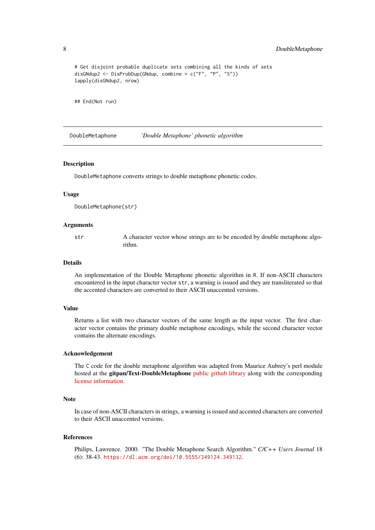```
# Get disjoint probable duplicate sets combining all the kinds of sets
disGNdup2 <- DisProbDup(GNdup, combine = c("F", "P", "S"))
lapply(disGNdup2, nrow)
```
## End(Not run)

<span id="page-7-1"></span>DoubleMetaphone *'Double Metaphone' phonetic algorithm*

#### Description

DoubleMetaphone converts strings to double metaphone phonetic codes.

#### Usage

```
DoubleMetaphone(str)
```
# Arguments

str A character vector whose strings are to be encoded by double metaphone algorithm.

#### Details

An implementation of the Double Metaphone phonetic algorithm in R. If non-ASCII characters encountered in the input character vector str, a warning is issued and they are transliterated so that the accented characters are converted to their ASCII unaccented versions.

# Value

Returns a list with two character vectors of the same length as the input vector. The first character vector contains the primary double metaphone encodings, while the second character vector contains the alternate encodings.

# Acknowledgement

The C code for the double metaphone algorithm was adapted from Maurice Aubrey's perl module hosted at the gitpan/Text-DoubleMetaphone [public github library](https://github.com/gitpan/Text-DoubleMetaphone/blob/master/double_metaphone.c) along with the corresponding [license information.](https://github.com/gitpan/Text-DoubleMetaphone/blob/master/README)

#### Note

In case of non-ASCII characters in strings, a warning is issued and accented characters are converted to their ASCII unaccented versions.

# References

Philips, Lawrence. 2000. "The Double Metaphone Search Algorithm." *C/C++ Users Journal* 18 (6): 38-43. <https://dl.acm.org/doi/10.5555/349124.349132>.

<span id="page-7-0"></span>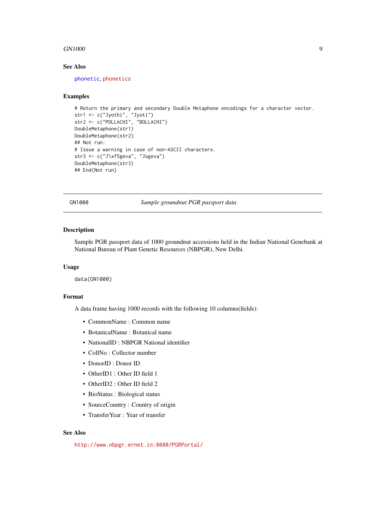#### <span id="page-8-0"></span>GN1000 9

#### See Also

[phonetic](#page-0-0), [phonetics](https://cran.r-project.org/package=RecordLinkage)

#### Examples

```
# Return the primary and secondary Double Metaphone encodings for a character vector.
str1 <- c("Jyothi", "Jyoti")
str2 <- c("POLLACHI", "BOLLACHI")
DoubleMetaphone(str1)
DoubleMetaphone(str2)
## Not run:
# Issue a warning in case of non-ASCII characters.
str3 <- c("J\xf5geva", "Jogeva")
DoubleMetaphone(str3)
## End(Not run)
```
GN1000 *Sample groundnut PGR passport data*

#### Description

Sample PGR passport data of 1000 groundnut accessions held in the Indian National Genebank at National Bureau of Plant Genetic Resources (NBPGR), New Delhi.

#### Usage

data(GN1000)

#### Format

A data frame having 1000 records with the following 10 columns(fields):

- CommonName : Common name
- BotanicalName : Botanical name
- NationalID : NBPGR National identifier
- CollNo : Collector number
- DonorID : Donor ID
- OtherID1 : Other ID field 1
- OtherID2 : Other ID field 2
- BioStatus : Biological status
- SourceCountry : Country of origin
- TransferYear : Year of transfer

#### See Also

<http://www.nbpgr.ernet.in:8080/PGRPortal/>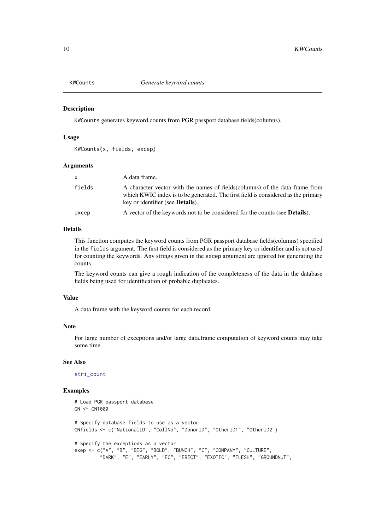<span id="page-9-0"></span>

#### Description

KWCounts generates keyword counts from PGR passport database fields(columns).

# Usage

KWCounts(x, fields, excep)

#### Arguments

| x.     | A data frame.                                                                                                                                                                                                 |
|--------|---------------------------------------------------------------------------------------------------------------------------------------------------------------------------------------------------------------|
| fields | A character vector with the names of fields (columns) of the data frame from<br>which KWIC index is to be generated. The first field is considered as the primary<br>key or identifier (see <b>Details</b> ). |
| excep  | A vector of the keywords not to be considered for the counts (see <b>Details</b> ).                                                                                                                           |
|        |                                                                                                                                                                                                               |

#### Details

This function computes the keyword counts from PGR passport database fields(columns) specified in the fields argument. The first field is considered as the primary key or identifier and is not used for counting the keywords. Any strings given in the excep argument are ignored for generating the counts.

The keyword counts can give a rough indication of the completeness of the data in the database fields being used for identification of probable duplicates.

#### Value

A data frame with the keyword counts for each record.

#### Note

For large number of exceptions and/or large data.frame computation of keyword counts may take some time.

# See Also

[stri\\_count](#page-0-0)

```
# Load PGR passport database
GN < - GN1000# Specify database fields to use as a vector
GNfields <- c("NationalID", "CollNo", "DonorID", "OtherID1", "OtherID2")
# Specify the exceptions as a vector
exep <- c("A", "B", "BIG", "BOLD", "BUNCH", "C", "COMPANY", "CULTURE",
         "DARK", "E", "EARLY", "EC", "ERECT", "EXOTIC", "FLESH", "GROUNDNUT",
```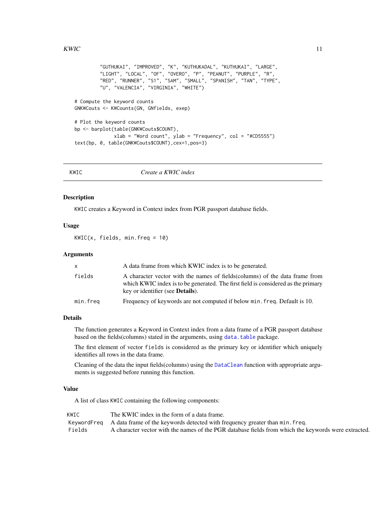#### <span id="page-10-0"></span> $KWIC$  11

```
"GUTHUKAI", "IMPROVED", "K", "KUTHUKADAL", "KUTHUKAI", "LARGE",
         "LIGHT", "LOCAL", "OF", "OVERO", "P", "PEANUT", "PURPLE", "R",
         "RED", "RUNNER", "S1", "SAM", "SMALL", "SPANISH", "TAN", "TYPE",
         "U", "VALENCIA", "VIRGINIA", "WHITE")
# Compute the keyword counts
GNKWCouts <- KWCounts(GN, GNfields, exep)
# Plot the keyword counts
bp <- barplot(table(GNKWCouts$COUNT),
              xlab = "Word count", ylab = "Frequency", col = "#CD5555")text(bp, 0, table(GNKWCouts$COUNT),cex=1,pos=3)
```
<span id="page-10-1"></span>KWIC *Create a KWIC index*

#### Description

KWIC creates a Keyword in Context index from PGR passport database fields.

# Usage

 $KWIC(x, fields, min.freq = 10)$ 

#### Arguments

| X        | A data frame from which KWIC index is to be generated.                                                                                                                                                        |
|----------|---------------------------------------------------------------------------------------------------------------------------------------------------------------------------------------------------------------|
| fields   | A character vector with the names of fields (columns) of the data frame from<br>which KWIC index is to be generated. The first field is considered as the primary<br>key or identifier (see <b>Details</b> ). |
| min.freq | Frequency of keywords are not computed if below min. freq. Default is 10.                                                                                                                                     |

#### Details

The function generates a Keyword in Context index from a data frame of a PGR passport database based on the fields(columns) stated in the arguments, using [data.table](#page-0-0) package.

The first element of vector fields is considered as the primary key or identifier which uniquely identifies all rows in the data frame.

Cleaning of the data the input fields(columns) using the [DataClean](#page-3-1) function with appropriate arguments is suggested before running this function.

# Value

A list of class KWIC containing the following components:

| KWIC   | The KWIC index in the form of a data frame.                                                          |
|--------|------------------------------------------------------------------------------------------------------|
|        | KeywordFreq A data frame of the keywords detected with frequency greater than min. freq.             |
| Fields | A character vector with the names of the PGR database fields from which the keywords were extracted. |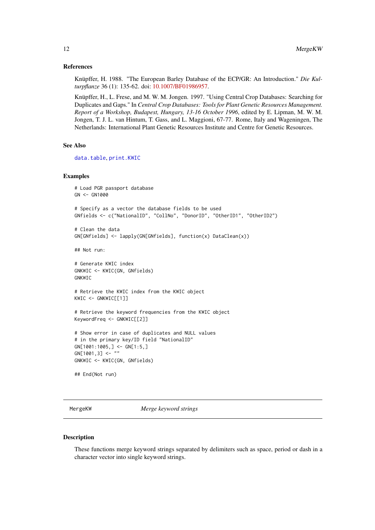#### References

Knüpffer, H. 1988. "The European Barley Database of the ECP/GR: An Introduction." *Die Kulturpflanze* 36 (1): 135-62. doi: [10.1007/BF01986957.](https://doi.org/10.1007/BF01986957)

Knüpffer, H., L. Frese, and M. W. M. Jongen. 1997. "Using Central Crop Databases: Searching for Duplicates and Gaps." In *Central Crop Databases: Tools for Plant Genetic Resources Management. Report of a Workshop, Budapest, Hungary, 13-16 October 1996*, edited by E. Lipman, M. W. M. Jongen, T. J. L. van Hintum, T. Gass, and L. Maggioni, 67-77. Rome, Italy and Wageningen, The Netherlands: International Plant Genetic Resources Institute and Centre for Genetic Resources.

# See Also

[data.table](#page-0-0), [print.KWIC](#page-16-1)

# Examples

```
# Load PGR passport database
GN <- GN1000
# Specify as a vector the database fields to be used
GNfields <- c("NationalID", "CollNo", "DonorID", "OtherID1", "OtherID2")
# Clean the data
GN[GNfields] <- lapply(GN[GNfields], function(x) DataClean(x))
## Not run:
# Generate KWIC index
GNKWIC <- KWIC(GN, GNfields)
GNKWIC
# Retrieve the KWIC index from the KWIC object
KWIC <- GNKWIC[[1]]
# Retrieve the keyword frequencies from the KWIC object
KeywordFreq <- GNKWIC[[2]]
# Show error in case of duplicates and NULL values
# in the primary key/ID field "NationalID"
GN[1001:1005, ] \leftarrow GN[1:5, ]GN[1001,3] <- ""
GNKWIC <- KWIC(GN, GNfields)
## End(Not run)
```
<span id="page-11-1"></span>MergeKW *Merge keyword strings*

#### Description

These functions merge keyword strings separated by delimiters such as space, period or dash in a character vector into single keyword strings.

<span id="page-11-0"></span>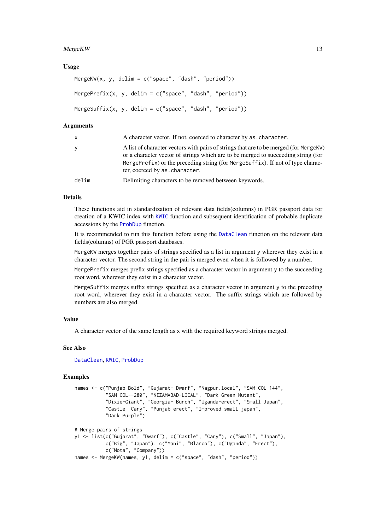#### <span id="page-12-0"></span>MergeKW 13

#### Usage

```
MergeKW(x, y, delim = c("space", "dash", "period"))
MergePrefix(x, y, delim = c("space", "dash", "period"))
MergeSuffix(x, y, delim = c("space", "dash", "period"))
```
#### Arguments

| X     | A character vector. If not, coerced to character by as character.                                                                                                                                                                                                                               |
|-------|-------------------------------------------------------------------------------------------------------------------------------------------------------------------------------------------------------------------------------------------------------------------------------------------------|
| y     | A list of character vectors with pairs of strings that are to be merged (for MergeKW)<br>or a character vector of strings which are to be merged to succeeding string (for<br>MergePrefix) or the preceding string (for MergeSuffix). If not of type charac-<br>ter, coerced by as . character. |
| delim | Delimiting characters to be removed between keywords.                                                                                                                                                                                                                                           |

# Details

These functions aid in standardization of relevant data fields(columns) in PGR passport data for creation of a KWIC index with [KWIC](#page-10-1) function and subsequent identification of probable duplicate accessions by the [ProbDup](#page-17-1) function.

It is recommended to run this function before using the [DataClean](#page-3-1) function on the relevant data fields(columns) of PGR passport databases.

MergeKW merges together pairs of strings specified as a list in argument y wherever they exist in a character vector. The second string in the pair is merged even when it is followed by a number.

MergePrefix merges prefix strings specified as a character vector in argument y to the succeeding root word, wherever they exist in a character vector.

MergeSuffix merges suffix strings specified as a character vector in argument y to the preceding root word, wherever they exist in a character vector. The suffix strings which are followed by numbers are also merged.

#### Value

A character vector of the same length as x with the required keyword strings merged.

# See Also

[DataClean](#page-3-1), [KWIC](#page-10-1), [ProbDup](#page-17-1)

```
names <- c("Punjab Bold", "Gujarat- Dwarf", "Nagpur.local", "SAM COL 144",
           "SAM COL--280", "NIZAMABAD-LOCAL", "Dark Green Mutant",
           "Dixie-Giant", "Georgia- Bunch", "Uganda-erect", "Small Japan",
           "Castle Cary", "Punjab erect", "Improved small japan",
           "Dark Purple")
# Merge pairs of strings
y1 <- list(c("Gujarat", "Dwarf"), c("Castle", "Cary"), c("Small", "Japan"),
           c("Big", "Japan"), c("Mani", "Blanco"), c("Uganda", "Erect"),
           c("Mota", "Company"))
names <- MergeKW(names, y1, delim = c("space", "dash", "period"))
```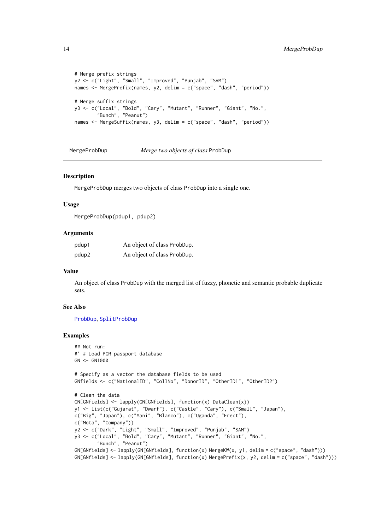```
# Merge prefix strings
y2 <- c("Light", "Small", "Improved", "Punjab", "SAM")
names <- MergePrefix(names, y2, delim = c("space", "dash", "period"))
# Merge suffix strings
y3 <- c("Local", "Bold", "Cary", "Mutant", "Runner", "Giant", "No.",
        "Bunch", "Peanut")
names <- MergeSuffix(names, y3, delim = c("space", "dash", "period"))
```
<span id="page-13-1"></span>MergeProbDup *Merge two objects of class* ProbDup

## Description

MergeProbDup merges two objects of class ProbDup into a single one.

#### Usage

MergeProbDup(pdup1, pdup2)

#### Arguments

| pdup1 | An object of class ProbDup. |
|-------|-----------------------------|
| pdup2 | An object of class ProbDup. |

#### Value

An object of class ProbDup with the merged list of fuzzy, phonetic and semantic probable duplicate sets.

#### See Also

[ProbDup](#page-17-1), [SplitProbDup](#page-28-1)

```
## Not run:
#' # Load PGR passport database
GN <- GN1000
# Specify as a vector the database fields to be used
GNfields <- c("NationalID", "CollNo", "DonorID", "OtherID1", "OtherID2")
# Clean the data
GN[GNfields] <- lapply(GN[GNfields], function(x) DataClean(x))
y1 <- list(c("Gujarat", "Dwarf"), c("Castle", "Cary"), c("Small", "Japan"),
c("Big", "Japan"), c("Mani", "Blanco"), c("Uganda", "Erect"),
c("Mota", "Company"))
y2 <- c("Dark", "Light", "Small", "Improved", "Punjab", "SAM")
y3 <- c("Local", "Bold", "Cary", "Mutant", "Runner", "Giant", "No.",
        "Bunch", "Peanut")
GN[GNfields] <- lapply(GN[GNfields], function(x) MergeKW(x, y1, delim = c("space", "dash")))
GN[GNfields] <- lapply(GN[GNfields], function(x) MergePrefix(x, y2, delim = c("space", "dash")))
```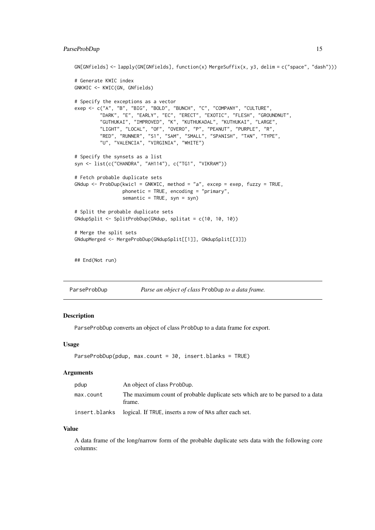#### <span id="page-14-0"></span>ParseProbDup 15

```
GN[GNfields] <- lapply(GN[GNfields], function(x) MergeSuffix(x, y3, delim = c("space", "dash")))
# Generate KWIC index
GNKWIC <- KWIC(GN, GNfields)
# Specify the exceptions as a vector
exep <- c("A", "B", "BIG", "BOLD", "BUNCH", "C", "COMPANY", "CULTURE",
         "DARK", "E", "EARLY", "EC", "ERECT", "EXOTIC", "FLESH", "GROUNDNUT",
         "GUTHUKAI", "IMPROVED", "K", "KUTHUKADAL", "KUTHUKAI", "LARGE",
         "LIGHT", "LOCAL", "OF", "OVERO", "P", "PEANUT", "PURPLE", "R",
         "RED", "RUNNER", "S1", "SAM", "SMALL", "SPANISH", "TAN", "TYPE",
         "U", "VALENCIA", "VIRGINIA", "WHITE")
# Specify the synsets as a list
syn <- list(c("CHANDRA", "AH114"), c("TG1", "VIKRAM"))
# Fetch probable duplicate sets
GNdup <- ProbDup(kwic1 = GNKWIC, method = "a", excep = exep, fuzzy = TRUE,
                 phonetic = TRUE, encoding = "primary",
                 semantic = TRUE, syn = syn)
# Split the probable duplicate sets
GNdupSplit <- SplitProbDup(GNdup, splitat = c(10, 10, 10))
# Merge the split sets
GNdupMerged <- MergeProbDup(GNdupSplit[[1]], GNdupSplit[[3]])
## End(Not run)
```

| ParseProbDup | Parse an object of class ProbDup to a data frame. |  |
|--------------|---------------------------------------------------|--|
|--------------|---------------------------------------------------|--|

#### Description

ParseProbDup converts an object of class ProbDup to a data frame for export.

### Usage

```
ParseProbDup(pdup, max.count = 30, insert.blanks = TRUE)
```
#### Arguments

| pdup          | An object of class ProbDup.                                                             |
|---------------|-----------------------------------------------------------------------------------------|
| max.count     | The maximum count of probable duplicate sets which are to be parsed to a data<br>frame. |
| insert.blanks | logical. If TRUE, inserts a row of NAs after each set.                                  |

#### Value

A data frame of the long/narrow form of the probable duplicate sets data with the following core columns: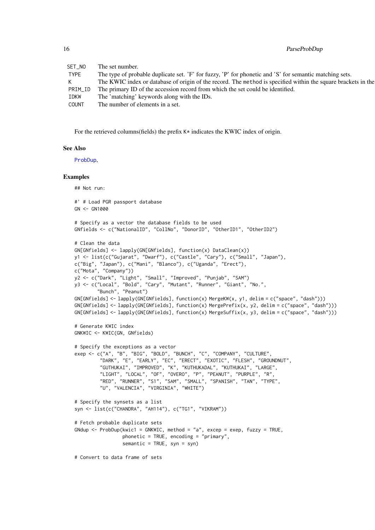<span id="page-15-0"></span>16 ParseProbDup

| SET_NO<br>TYPE | The set number.<br>The type of probable duplicate set. 'F' for fuzzy, 'P' for phonetic and 'S' for semantic matching sets. |
|----------------|----------------------------------------------------------------------------------------------------------------------------|
| K              | The KWIC index or database of origin of the record. The method is specified within the square brackets in the              |
| PRIM_ID        | The primary ID of the accession record from which the set could be identified.                                             |
| IDKW           | The 'matching' keywords along with the IDs.                                                                                |
| COUNT          | The number of elements in a set.                                                                                           |
|                |                                                                                                                            |

For the retrieved columns(fields) the prefix  $K*$  indicates the KWIC index of origin.

# See Also

[ProbDup](#page-17-1),

#### Examples

## Not run: #' # Load PGR passport database GN <- GN1000 # Specify as a vector the database fields to be used GNfields <- c("NationalID", "CollNo", "DonorID", "OtherID1", "OtherID2") # Clean the data GN[GNfields] <- lapply(GN[GNfields], function(x) DataClean(x)) y1 <- list(c("Gujarat", "Dwarf"), c("Castle", "Cary"), c("Small", "Japan"), c("Big", "Japan"), c("Mani", "Blanco"), c("Uganda", "Erect"), c("Mota", "Company")) y2 <- c("Dark", "Light", "Small", "Improved", "Punjab", "SAM") y3 <- c("Local", "Bold", "Cary", "Mutant", "Runner", "Giant", "No.", "Bunch", "Peanut") GN[GNfields] <- lapply(GN[GNfields], function(x) MergeKW(x, y1, delim = c("space", "dash"))) GN[GNfields] <- lapply(GN[GNfields], function(x) MergePrefix(x, y2, delim = c("space", "dash"))) GN[GNfields] <- lapply(GN[GNfields], function(x) MergeSuffix(x, y3, delim = c("space", "dash"))) # Generate KWIC index GNKWIC <- KWIC(GN, GNfields) # Specify the exceptions as a vector exep <- c("A", "B", "BIG", "BOLD", "BUNCH", "C", "COMPANY", "CULTURE", "DARK", "E", "EARLY", "EC", "ERECT", "EXOTIC", "FLESH", "GROUNDNUT", "GUTHUKAI", "IMPROVED", "K", "KUTHUKADAL", "KUTHUKAI", "LARGE", "LIGHT", "LOCAL", "OF", "OVERO", "P", "PEANUT", "PURPLE", "R", "RED", "RUNNER", "S1", "SAM", "SMALL", "SPANISH", "TAN", "TYPE", "U", "VALENCIA", "VIRGINIA", "WHITE") # Specify the synsets as a list syn <- list(c("CHANDRA", "AH114"), c("TG1", "VIKRAM")) # Fetch probable duplicate sets GNdup  $\leq$ - ProbDup(kwic1 = GNKWIC, method = "a", excep = exep, fuzzy = TRUE, phonetic = TRUE, encoding = "primary", semantic =  $TRUE$ , syn = syn) # Convert to data frame of sets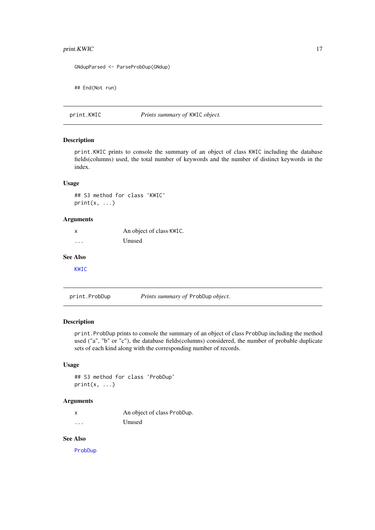#### <span id="page-16-0"></span>print.KWIC 17

```
GNdupParsed <- ParseProbDup(GNdup)
```
## End(Not run)

<span id="page-16-1"></span>print.KWIC *Prints summary of* KWIC *object.*

#### Description

print.KWIC prints to console the summary of an object of class KWIC including the database fields(columns) used, the total number of keywords and the number of distinct keywords in the index.

#### Usage

## S3 method for class 'KWIC'  $print(x, \ldots)$ 

# Arguments

x An object of class KWIC. ... Unused

# See Also

[KWIC](#page-10-1)

<span id="page-16-2"></span>print.ProbDup *Prints summary of* ProbDup *object.*

# Description

print.ProbDup prints to console the summary of an object of class ProbDup including the method used ("a", "b" or "c"), the database fields(columns) considered, the number of probable duplicate sets of each kind along with the corresponding number of records.

#### Usage

```
## S3 method for class 'ProbDup'
print(x, \ldots)
```
#### Arguments

| $\boldsymbol{\mathsf{x}}$ | An object of class ProbDup. |
|---------------------------|-----------------------------|
| $\cdots$                  | Unused                      |

# See Also

[ProbDup](#page-17-1)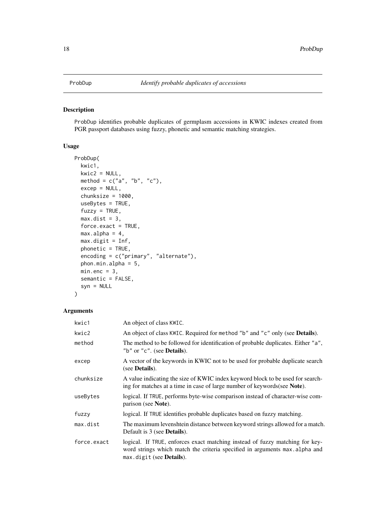#### <span id="page-17-1"></span><span id="page-17-0"></span>Description

ProbDup identifies probable duplicates of germplasm accessions in KWIC indexes created from PGR passport databases using fuzzy, phonetic and semantic matching strategies.

# Usage

```
ProbDup(
  kwic1,
  kwic2 = NULL,
 method = c("a", "b", "c"),excep = NULL,
  chunksize = 1000,useBytes = TRUE,
  fuzzy = TRUE,max.dist = 3,
  force.exact = TRUE,
  max.alpha = 4,max.digit = Inf,
  phonetic = TRUE,
  encoding = c("primary", "alternate"),
  phon.min.alpha = 5,
  min.enc = 3,
  semantic = FALSE,
  syn = NULL)
```
#### Arguments

| kwic1       | An object of class KWIC.                                                                                                                                                                       |
|-------------|------------------------------------------------------------------------------------------------------------------------------------------------------------------------------------------------|
| kwic2       | An object of class KWIC. Required for method "b" and "c" only (see <b>Details</b> ).                                                                                                           |
| method      | The method to be followed for identification of probable duplicates. Either "a",<br>"b" or " $c$ ". (see <b>Details</b> ).                                                                     |
| excep       | A vector of the keywords in KWIC not to be used for probable duplicate search<br>(see <b>Details</b> ).                                                                                        |
| chunksize   | A value indicating the size of KWIC index keyword block to be used for search-<br>ing for matches at a time in case of large number of keywords (see Note).                                    |
| useBytes    | logical. If TRUE, performs byte-wise comparison instead of character-wise com-<br>parison (see <b>Note</b> ).                                                                                  |
| fuzzy       | logical. If TRUE identifies probable duplicates based on fuzzy matching.                                                                                                                       |
| max.dist    | The maximum levenshtein distance between keyword strings allowed for a match.<br>Default is 3 (see Details).                                                                                   |
| force.exact | logical. If TRUE, enforces exact matching instead of fuzzy matching for key-<br>word strings which match the criteria specified in arguments max.alpha and<br>max.digit (see <b>Details</b> ). |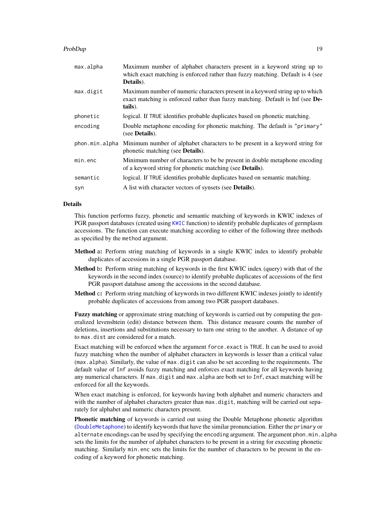#### <span id="page-18-0"></span>ProbDup 2008 and 2009 and 2009 and 2009 and 2009 and 2009 and 2009 and 2009 and 2009 and 2009 and 2009 and 200

| max.alpha      | Maximum number of alphabet characters present in a keyword string up to<br>which exact matching is enforced rather than fuzzy matching. Default is 4 (see<br>Details).    |
|----------------|---------------------------------------------------------------------------------------------------------------------------------------------------------------------------|
| max.digit      | Maximum number of numeric characters present in a keyword string up to which<br>exact matching is enforced rather than fuzzy matching. Default is Inf (see De-<br>tails). |
| phonetic       | logical. If TRUE identifies probable duplicates based on phonetic matching.                                                                                               |
| encoding       | Double metaphone encoding for phonetic matching. The default is "primary"<br>(see <b>Details</b> ).                                                                       |
| phon.min.alpha | Minimum number of alphabet characters to be present in a keyword string for<br>phonetic matching (see <b>Details</b> ).                                                   |
| min.enc        | Minimum number of characters to be be present in double metaphone encoding<br>of a keyword string for phonetic matching (see Details).                                    |
| semantic       | logical. If TRUE identifies probable duplicates based on semantic matching.                                                                                               |
| syn            | A list with character vectors of synsets (see <b>Details</b> ).                                                                                                           |

# Details

This function performs fuzzy, phonetic and semantic matching of keywords in KWIC indexes of PGR passport databases (created using [KWIC](#page-10-1) function) to identify probable duplicates of germplasm accessions. The function can execute matching according to either of the following three methods as specified by the method argument.

- Method a: Perform string matching of keywords in a single KWIC index to identify probable duplicates of accessions in a single PGR passport database.
- Method b: Perform string matching of keywords in the first KWIC index (query) with that of the keywords in the second index (source) to identify probable duplicates of accessions of the first PGR passport database among the accessions in the second database.
- Method c: Perform string matching of keywords in two different KWIC indexes jointly to identify probable duplicates of accessions from among two PGR passport databases.

Fuzzy matching or approximate string matching of keywords is carried out by computing the generalized levenshtein (edit) distance between them. This distance measure counts the number of deletions, insertions and substitutions necessary to turn one string to the another. A distance of up to max.dist are considered for a match.

Exact matching will be enforced when the argument force.exact is TRUE. It can be used to avoid fuzzy matching when the number of alphabet characters in keywords is lesser than a critical value (max.alpha). Similarly, the value of max.digit can also be set according to the requirements. The default value of Inf avoids fuzzy matching and enforces exact matching for all keywords having any numerical characters. If max.digit and max.alpha are both set to Inf, exact matching will be enforced for all the keywords.

When exact matching is enforced, for keywords having both alphabet and numeric characters and with the number of alphabet characters greater than  $max$ . digit, matching will be carried out separately for alphabet and numeric characters present.

Phonetic matching of keywords is carried out using the Double Metaphone phonetic algorithm ([DoubleMetaphone](#page-7-1)) to identify keywords that have the similar pronunciation. Either the primary or alternate encodings can be used by specifying the encoding argument. The argument phon.min.alpha sets the limits for the number of alphabet characters to be present in a string for executing phonetic matching. Similarly min.enc sets the limits for the number of characters to be present in the encoding of a keyword for phonetic matching.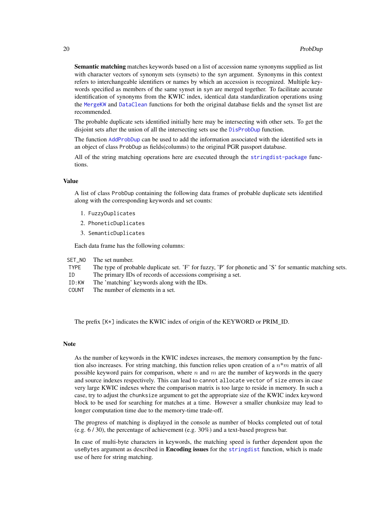<span id="page-19-0"></span>Semantic matching matches keywords based on a list of accession name synonyms supplied as list with character vectors of synonym sets (synsets) to the syn argument. Synonyms in this context refers to interchangeable identifiers or names by which an accession is recognized. Multiple keywords specified as members of the same synset in syn are merged together. To facilitate accurate identification of synonyms from the KWIC index, identical data standardization operations using the [MergeKW](#page-11-1) and [DataClean](#page-3-1) functions for both the original database fields and the synset list are recommended.

The probable duplicate sets identified initially here may be intersecting with other sets. To get the disjoint sets after the union of all the intersecting sets use the [DisProbDup](#page-5-1) function.

The function [AddProbDup](#page-2-1) can be used to add the information associated with the identified sets in an object of class ProbDup as fields(columns) to the original PGR passport database.

All of the string matching operations here are executed through the [stringdist-package](#page-0-0) functions.

# Value

A list of class ProbDup containing the following data frames of probable duplicate sets identified along with the corresponding keywords and set counts:

- 1. FuzzyDuplicates
- 2. PhoneticDuplicates
- 3. SemanticDuplicates

Each data frame has the following columns:

SET\_NO The set number.

TYPE The type of probable duplicate set. 'F' for fuzzy, 'P' for phonetic and 'S' for semantic matching sets. ID The primary IDs of records of accessions comprising a set.

- ID:KW The 'matching' keywords along with the IDs.
- COUNT The number of elements in a set.

The prefix  $[K*]$  indicates the KWIC index of origin of the KEYWORD or PRIM ID.

#### Note

As the number of keywords in the KWIC indexes increases, the memory consumption by the function also increases. For string matching, this function relies upon creation of a  $n*m$  matrix of all possible keyword pairs for comparison, where n and  $m$  are the number of keywords in the query and source indexes respectively. This can lead to cannot allocate vector of size errors in case very large KWIC indexes where the comparison matrix is too large to reside in memory. In such a case, try to adjust the chunksize argument to get the appropriate size of the KWIC index keyword block to be used for searching for matches at a time. However a smaller chunksize may lead to longer computation time due to the memory-time trade-off.

The progress of matching is displayed in the console as number of blocks completed out of total (e.g. 6 / 30), the percentage of achievement (e.g. 30%) and a text-based progress bar.

In case of multi-byte characters in keywords, the matching speed is further dependent upon the useBytes argument as described in Encoding issues for the [stringdist](#page-0-0) function, which is made use of here for string matching.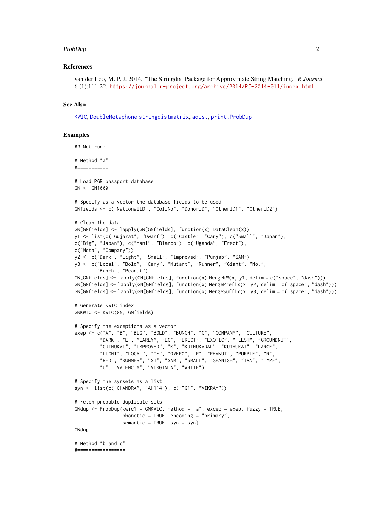#### <span id="page-20-0"></span>ProbDup 21

#### References

van der Loo, M. P. J. 2014. "The Stringdist Package for Approximate String Matching." *R Journal* 6 (1):111-22. <https://journal.r-project.org/archive/2014/RJ-2014-011/index.html>.

# See Also

[KWIC](#page-10-1), [DoubleMetaphone](#page-7-1) [stringdistmatrix](#page-0-0), [adist](#page-0-0), print. ProbDup

# Examples

## Not run:

```
# Method "a"
#===========
# Load PGR passport database
GN <- GN1000
# Specify as a vector the database fields to be used
GNfields <- c("NationalID", "CollNo", "DonorID", "OtherID1", "OtherID2")
# Clean the data
GN[GNfields] <- lapply(GN[GNfields], function(x) DataClean(x))
y1 <- list(c("Gujarat", "Dwarf"), c("Castle", "Cary"), c("Small", "Japan"),
c("Big", "Japan"), c("Mani", "Blanco"), c("Uganda", "Erect"),
c("Mota", "Company"))
y2 <- c("Dark", "Light", "Small", "Improved", "Punjab", "SAM")
y3 <- c("Local", "Bold", "Cary", "Mutant", "Runner", "Giant", "No.",
        "Bunch", "Peanut")
GN[GNfields] <- lapply(GN[GNfields], function(x) MergeKW(x, y1, delim = c("space", "dash")))
GN[GNfields] <- lapply(GN[GNfields], function(x) MergePrefix(x, y2, delim = c("space", "dash")))
GN[GNfields] <- lapply(GN[GNfields], function(x) MergeSuffix(x, y3, delim = c("space", "dash")))
# Generate KWIC index
GNKWIC <- KWIC(GN, GNfields)
# Specify the exceptions as a vector
exep <- c("A", "B", "BIG", "BOLD", "BUNCH", "C", "COMPANY", "CULTURE",
         "DARK", "E", "EARLY", "EC", "ERECT", "EXOTIC", "FLESH", "GROUNDNUT",
         "GUTHUKAI", "IMPROVED", "K", "KUTHUKADAL", "KUTHUKAI", "LARGE",
         "LIGHT", "LOCAL", "OF", "OVERO", "P", "PEANUT", "PURPLE", "R",
         "RED", "RUNNER", "S1", "SAM", "SMALL", "SPANISH", "TAN", "TYPE",
         "U", "VALENCIA", "VIRGINIA", "WHITE")
# Specify the synsets as a list
syn <- list(c("CHANDRA", "AH114"), c("TG1", "VIKRAM"))
# Fetch probable duplicate sets
GNdup <- ProbDup(kwic1 = GNKWIC, method = "a", excep = exep, fuzzy = TRUE,
                 phonetic = TRUE, encoding = "primary",
                 semantic = TRUE, syn = syn)
GNdup
# Method "b and c"
#=================
```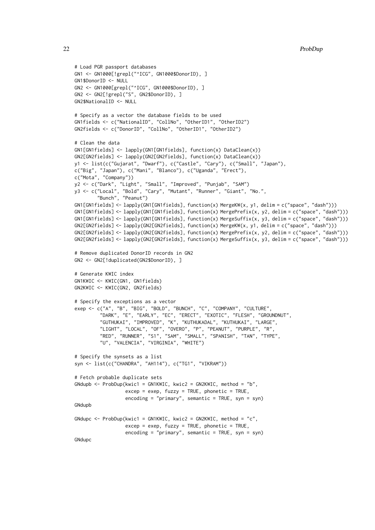```
# Load PGR passport databases
GN1 <- GN1000[!grepl("^ICG", GN1000$DonorID), ]
GN1$DonorID <- NULL
GN2 <- GN1000[grepl("^ICG", GN1000$DonorID), ]
GN2 <- GN2[!grepl("S", GN2$DonorID), ]
GN2$NationalID <- NULL
# Specify as a vector the database fields to be used
GN1fields <- c("NationalID", "CollNo", "OtherID1", "OtherID2")
GN2fields <- c("DonorID", "CollNo", "OtherID1", "OtherID2")
# Clean the data
GN1[GN1fields] <- lapply(GN1[GN1fields], function(x) DataClean(x))
GN2[GN2fields] <- lapply(GN2[GN2fields], function(x) DataClean(x))
y1 <- list(c("Gujarat", "Dwarf"), c("Castle", "Cary"), c("Small", "Japan"),
c("Big", "Japan"), c("Mani", "Blanco"), c("Uganda", "Erect"),
c("Mota", "Company"))
y2 <- c("Dark", "Light", "Small", "Improved", "Punjab", "SAM")
y3 <- c("Local", "Bold", "Cary", "Mutant", "Runner", "Giant", "No.",
        "Bunch", "Peanut")
GN1[GN1fields] <- lapply(GN1[GN1fields], function(x) MergeKW(x, y1, delim = c("space", "dash")))
GN1[GN1fields] <- lapply(GN1[GN1fields], function(x) MergePrefix(x, y2, delim = c("space", "dash")))
GN1[GN1fields] <- lapply(GN1[GN1fields], function(x) MergeSuffix(x, y3, delim = c("space", "dash")))
GN2[GN2fields] <- lapply(GN2[GN2fields], function(x) MergeKW(x, y1, delim = c("space", "dash")))
GN2[GN2fields] <- lapply(GN2[GN2fields], function(x) MergePrefix(x, y2, delim = c("space", "dash")))
GN2[GN2fields] <- lapply(GN2[GN2fields], function(x) MergeSuffix(x, y3, delim = c("space", "dash")))
# Remove duplicated DonorID records in GN2
GN2 <- GN2[!duplicated(GN2$DonorID), ]
# Generate KWIC index
GN1KWIC <- KWIC(GN1, GN1fields)
GN2KWIC <- KWIC(GN2, GN2fields)
# Specify the exceptions as a vector
exep <- c("A", "B", "BIG", "BOLD", "BUNCH", "C", "COMPANY", "CULTURE",
         "DARK", "E", "EARLY", "EC", "ERECT", "EXOTIC", "FLESH", "GROUNDNUT",
         "GUTHUKAI", "IMPROVED", "K", "KUTHUKADAL", "KUTHUKAI", "LARGE",
         "LIGHT", "LOCAL", "OF", "OVERO", "P", "PEANUT", "PURPLE", "R",
         "RED", "RUNNER", "S1", "SAM", "SMALL", "SPANISH", "TAN", "TYPE",
         "U", "VALENCIA", "VIRGINIA", "WHITE")
# Specify the synsets as a list
syn <- list(c("CHANDRA", "AH114"), c("TG1", "VIKRAM"))
# Fetch probable duplicate sets
GNdupb \leq ProbDup(kwic1 = GN1KWIC, kwic2 = GN2KWIC, method = "b",
                  excep = exep, fuzzy = TRUE, phonetic = TRUE,encoding = "primary", semantic = TRUE, syn = syn)
GNdupb
GNdupc \leq ProbDup(kwic1 = GN1KWIC, kwic2 = GN2KWIC, method = "c",
                  excep = exep, fuzzy = TRUE, phonetic = TRUE,
                  encoding = "primary", semantic = TRUE, syn = syn)
GNdupc
```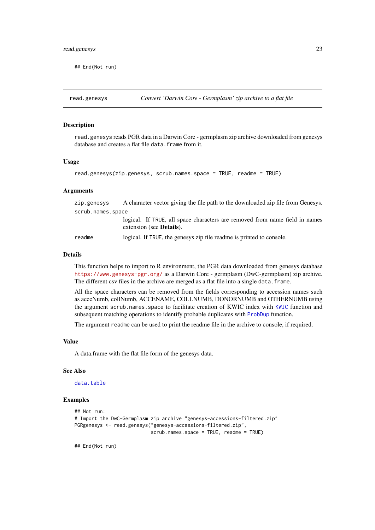<span id="page-22-0"></span>## End(Not run)

#### Description

read.genesys reads PGR data in a Darwin Core - germplasm zip archive downloaded from genesys database and creates a flat file data. frame from it.

#### Usage

```
read.genesys(zip.genesys, scrub.names.space = TRUE, readme = TRUE)
```
#### Arguments

| zip.genesys       | A character vector giving the file path to the downloaded zip file from Genesys.                                |
|-------------------|-----------------------------------------------------------------------------------------------------------------|
| scrub.names.space |                                                                                                                 |
|                   | logical. If TRUE, all space characters are removed from name field in names<br>extension (see <b>Details</b> ). |
| readme            | logical. If TRUE, the genesys zip file readme is printed to console.                                            |

#### Details

This function helps to import to R environment, the PGR data downloaded from genesys database <https://www.genesys-pgr.org/> as a Darwin Core - germplasm (DwC-germplasm) zip archive. The different csv files in the archive are merged as a flat file into a single data. frame.

All the space characters can be removed from the fields corresponding to accession names such as acceNumb, collNumb, ACCENAME, COLLNUMB, DONORNUMB and OTHERNUMB using the argument scrub.names.space to facilitate creation of KWIC index with [KWIC](#page-10-1) function and subsequent matching operations to identify probable duplicates with [ProbDup](#page-17-1) function.

The argument readme can be used to print the readme file in the archive to console, if required.

# Value

A data.frame with the flat file form of the genesys data.

#### See Also

[data.table](#page-0-0)

# Examples

```
## Not run:
# Import the DwC-Germplasm zip archive "genesys-accessions-filtered.zip"
PGRgenesys <- read.genesys("genesys-accessions-filtered.zip",
                           scrub.names.space = TRUE, readme = TRUE)
```
## End(Not run)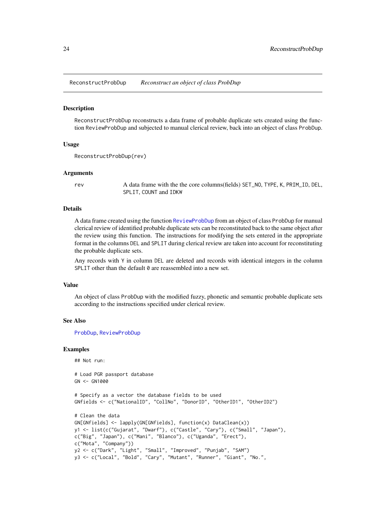<span id="page-23-0"></span>ReconstructProbDup *Reconstruct an object of class ProbDup*

#### Description

ReconstructProbDup reconstructs a data frame of probable duplicate sets created using the function ReviewProbDup and subjected to manual clerical review, back into an object of class ProbDup.

#### Usage

```
ReconstructProbDup(rev)
```
#### Arguments

rev A data frame with the the core columns(fields) SET\_NO, TYPE, K, PRIM\_ID, DEL, SPLIT, COUNT and IDKW

#### Details

A data frame created using the function [ReviewProbDup](#page-24-1) from an object of class ProbDup for manual clerical review of identified probable duplicate sets can be reconstituted back to the same object after the review using this function. The instructions for modifying the sets entered in the appropriate format in the columns DEL and SPLIT during clerical review are taken into account for reconstituting the probable duplicate sets.

Any records with Y in column DEL are deleted and records with identical integers in the column SPLIT other than the default 0 are reassembled into a new set.

# Value

An object of class ProbDup with the modified fuzzy, phonetic and semantic probable duplicate sets according to the instructions specified under clerical review.

#### See Also

[ProbDup](#page-17-1), [ReviewProbDup](#page-24-1)

#### Examples

## Not run:

# Load PGR passport database GN <- GN1000

```
# Specify as a vector the database fields to be used
GNfields <- c("NationalID", "CollNo", "DonorID", "OtherID1", "OtherID2")
# Clean the data
GN[GNfields] <- lapply(GN[GNfields], function(x) DataClean(x))
y1 <- list(c("Gujarat", "Dwarf"), c("Castle", "Cary"), c("Small", "Japan"),
c("Big", "Japan"), c("Mani", "Blanco"), c("Uganda", "Erect"),
c("Mota", "Company"))
y2 <- c("Dark", "Light", "Small", "Improved", "Punjab", "SAM")
y3 <- c("Local", "Bold", "Cary", "Mutant", "Runner", "Giant", "No.",
```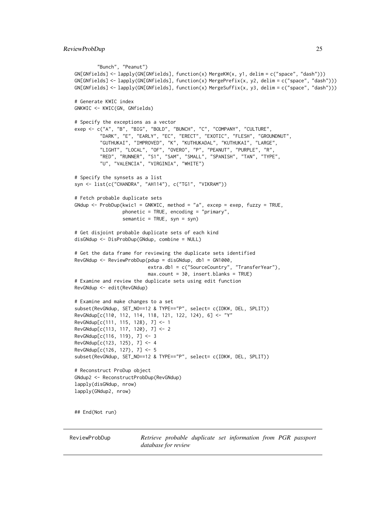```
"Bunch", "Peanut")
GN[GNfields] <- lapply(GN[GNfields], function(x) MergeKW(x, y1, delim = c("space", "dash")))
GN[GNfields] <- lapply(GN[GNfields], function(x) MergePrefix(x, y2, delim = c("space", "dash")))
GN[GNfields] <- lapply(GN[GNfields], function(x) MergeSuffix(x, y3, delim = c("space", "dash")))
# Generate KWIC index
GNKWIC <- KWIC(GN, GNfields)
# Specify the exceptions as a vector
exep <- c("A", "B", "BIG", "BOLD", "BUNCH", "C", "COMPANY", "CULTURE",
         "DARK", "E", "EARLY", "EC", "ERECT", "EXOTIC", "FLESH", "GROUNDNUT",
         "GUTHUKAI", "IMPROVED", "K", "KUTHUKADAL", "KUTHUKAI", "LARGE",
         "LIGHT", "LOCAL", "OF", "OVERO", "P", "PEANUT", "PURPLE", "R",
         "RED", "RUNNER", "S1", "SAM", "SMALL", "SPANISH", "TAN", "TYPE",
         "U", "VALENCIA", "VIRGINIA", "WHITE")
# Specify the synsets as a list
syn <- list(c("CHANDRA", "AH114"), c("TG1", "VIKRAM"))
# Fetch probable duplicate sets
GNdup <- ProbDup(kwic1 = GNKWIC, method = "a", excep = exep, fuzzy = TRUE,
                 phonetic = TRUE, encoding = "primary",
                 semantic = TRUE, syn = syn)# Get disjoint probable duplicate sets of each kind
disGNdup <- DisProbDup(GNdup, combine = NULL)
# Get the data frame for reviewing the duplicate sets identified
RevGNdup <- ReviewProbDup(pdup = disGNdup, db1 = GN1000,
                          extra.db1 = c("SourceCountry", "TransferYear"),
                          max.count = 30, insert.blanks = TRUE)
# Examine and review the duplicate sets using edit function
RevGNdup <- edit(RevGNdup)
# Examine and make changes to a set
subset(RevGNdup, SET_NO==12 & TYPE=="P", select= c(IDKW, DEL, SPLIT))
RevGNdup[c(110, 112, 114, 118, 121, 122, 124), 6] <- "Y"
RevGNdup[c(111, 115, 128), 7] <- 1
RevGNdup[c(113, 117, 120), 7] <- 2
RevGNdup[c(116, 119), 7] <- 3
RevGNdup[c(123, 125), 7] <- 4
RevGNdup[c(126, 127), 7] <- 5
subset(RevGNdup, SET_NO==12 & TYPE=="P", select= c(IDKW, DEL, SPLIT))
# Reconstruct ProDup object
GNdup2 <- ReconstructProbDup(RevGNdup)
lapply(disGNdup, nrow)
lapply(GNdup2, nrow)
## End(Not run)
```
<span id="page-24-1"></span>ReviewProbDup *Retrieve probable duplicate set information from PGR passport database for review*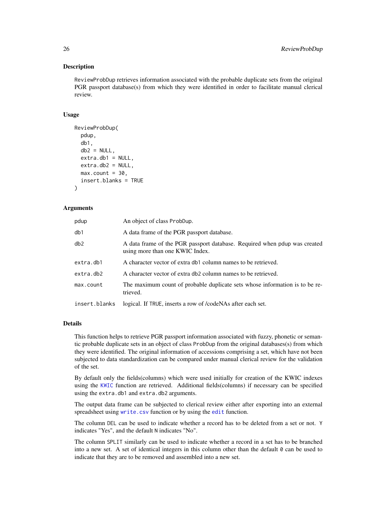#### Description

ReviewProbDup retrieves information associated with the probable duplicate sets from the original PGR passport database(s) from which they were identified in order to facilitate manual clerical review.

# Usage

```
ReviewProbDup(
  pdup,
  db1,
  db2 = NULL.
  extra.db1 = NULL,ext{ra.db2} = NULL,max.count = 30,
  insert.blanks = TRUE
)
```
#### Arguments

| pdup            | An object of class ProbDup.                                                                                  |
|-----------------|--------------------------------------------------------------------------------------------------------------|
| db1             | A data frame of the PGR passport database.                                                                   |
| db <sub>2</sub> | A data frame of the PGR passport database. Required when pdup was created<br>using more than one KWIC Index. |
| extra.db1       | A character vector of extra db1 column names to be retrieved.                                                |
| extra.db2       | A character vector of extra db2 column names to be retrieved.                                                |
| max.count       | The maximum count of probable duplicate sets whose information is to be re-<br>trieved.                      |
| insert.blanks   | logical. If TRUE, inserts a row of /codeNAs after each set.                                                  |

## Details

This function helps to retrieve PGR passport information associated with fuzzy, phonetic or semantic probable duplicate sets in an object of class ProbDup from the original databases(s) from which they were identified. The original information of accessions comprising a set, which have not been subjected to data standardization can be compared under manual clerical review for the validation of the set.

By default only the fields(columns) which were used initially for creation of the KWIC indexes using the [KWIC](#page-10-1) function are retrieved. Additional fields(columns) if necessary can be specified using the extra.db1 and extra.db2 arguments.

The output data frame can be subjected to clerical review either after exporting into an external spreadsheet using [write.csv](#page-0-0) function or by using the [edit](#page-0-0) function.

The column DEL can be used to indicate whether a record has to be deleted from a set or not. Y indicates "Yes", and the default N indicates "No".

The column SPLIT similarly can be used to indicate whether a record in a set has to be branched into a new set. A set of identical integers in this column other than the default  $\theta$  can be used to indicate that they are to be removed and assembled into a new set.

<span id="page-25-0"></span>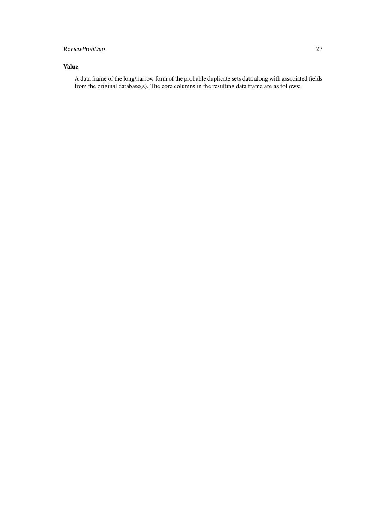# ReviewProbDup 27

# Value

A data frame of the long/narrow form of the probable duplicate sets data along with associated fields from the original database(s). The core columns in the resulting data frame are as follows: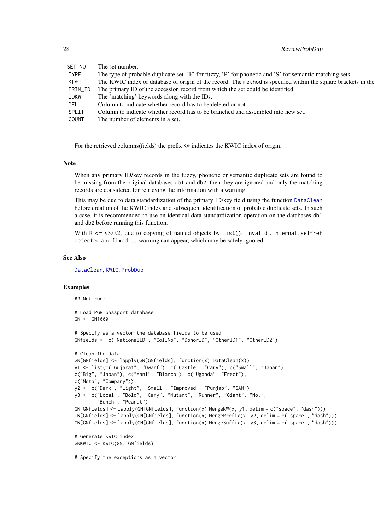<span id="page-27-0"></span>

| SET NO     | The set number.                                                                                               |
|------------|---------------------------------------------------------------------------------------------------------------|
| TYPE       | The type of probable duplicate set. 'F' for fuzzy, 'P' for phonetic and 'S' for semantic matching sets.       |
| $K[\star]$ | The KWIC index or database of origin of the record. The method is specified within the square brackets in the |
| PRIM_ID    | The primary ID of the accession record from which the set could be identified.                                |
| IDKW       | The 'matching' keywords along with the IDs.                                                                   |
| DEL        | Column to indicate whether record has to be deleted or not.                                                   |
| SPLIT      | Column to indicate whether record has to be branched and assembled into new set.                              |
| COUNT      | The number of elements in a set.                                                                              |

For the retrieved columns(fields) the prefix K\* indicates the KWIC index of origin.

#### Note

When any primary ID/key records in the fuzzy, phonetic or semantic duplicate sets are found to be missing from the original databases db1 and db2, then they are ignored and only the matching records are considered for retrieving the information with a warning.

This may be due to data standardization of the primary ID/key field using the function [DataClean](#page-3-1) before creation of the KWIC index and subsequent identification of probable duplicate sets. In such a case, it is recommended to use an identical data standardization operation on the databases db1 and db2 before running this function.

With  $R \leq y3.0.2$ , due to copying of named objects by list(). Invalid . internal.selfref detected and fixed... warning can appear, which may be safely ignored.

## See Also

[DataClean](#page-3-1), [KWIC](#page-10-1), [ProbDup](#page-17-1)

```
## Not run:
# Load PGR passport database
GN <- GN1000
# Specify as a vector the database fields to be used
GNfields <- c("NationalID", "CollNo", "DonorID", "OtherID1", "OtherID2")
# Clean the data
GN[GNfields] <- lapply(GN[GNfields], function(x) DataClean(x))
y1 <- list(c("Gujarat", "Dwarf"), c("Castle", "Cary"), c("Small", "Japan"),
c("Big", "Japan"), c("Mani", "Blanco"), c("Uganda", "Erect"),
c("Mota", "Company"))
y2 <- c("Dark", "Light", "Small", "Improved", "Punjab", "SAM")
y3 <- c("Local", "Bold", "Cary", "Mutant", "Runner", "Giant", "No.",
        "Bunch", "Peanut")
GN[GNfields] <- lapply(GN[GNfields], function(x) MergeKW(x, y1, delim = c("space", "dash")))
GN[GNfields] <- lapply(GN[GNfields], function(x) MergePrefix(x, y2, delim = c("space", "dash")))
GN[GNfields] <- lapply(GN[GNfields], function(x) MergeSuffix(x, y3, delim = c("space", "dash")))
# Generate KWIC index
GNKWIC <- KWIC(GN, GNfields)
# Specify the exceptions as a vector
```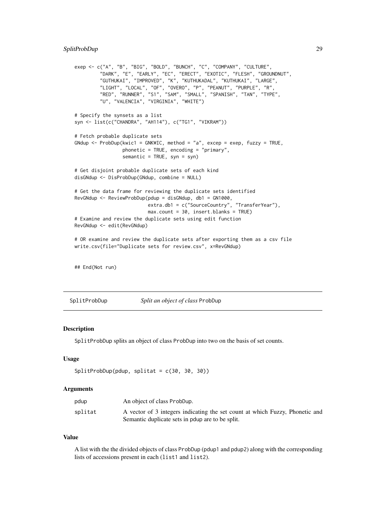#### <span id="page-28-0"></span>SplitProbDup 29

```
exep <- c("A", "B", "BIG", "BOLD", "BUNCH", "C", "COMPANY", "CULTURE",
         "DARK", "E", "EARLY", "EC", "ERECT", "EXOTIC", "FLESH", "GROUNDNUT",
         "GUTHUKAI", "IMPROVED", "K", "KUTHUKADAL", "KUTHUKAI", "LARGE",
         "LIGHT", "LOCAL", "OF", "OVERO", "P", "PEANUT", "PURPLE", "R",
         "RED", "RUNNER", "S1", "SAM", "SMALL", "SPANISH", "TAN", "TYPE",
         "U", "VALENCIA", "VIRGINIA", "WHITE")
# Specify the synsets as a list
syn <- list(c("CHANDRA", "AH114"), c("TG1", "VIKRAM"))
# Fetch probable duplicate sets
GNdup \leq ProbDup(kwic1 = GNKWIC, method = "a", excep = exep, fuzzy = TRUE,
                 phonetic = TRUE, encoding = "primary",
                 semantic = TRUE, syn = syn)
# Get disjoint probable duplicate sets of each kind
disGNdup <- DisProbDup(GNdup, combine = NULL)
# Get the data frame for reviewing the duplicate sets identified
RevGNdup <- ReviewProbDup(pdup = disGNdup, db1 = GN1000,
                          extra.db1 = c("SourceCountry", "TransferYear"),
                          max.count = 30, insert.blanks = TRUE)
# Examine and review the duplicate sets using edit function
RevGNdup <- edit(RevGNdup)
# OR examine and review the duplicate sets after exporting them as a csv file
write.csv(file="Duplicate sets for review.csv", x=RevGNdup)
```
## End(Not run)

<span id="page-28-1"></span>SplitProbDup *Split an object of class* ProbDup

### Description

SplitProbDup splits an object of class ProbDup into two on the basis of set counts.

#### Usage

```
SplitProbDup(pdup, splitat = c(30, 30, 30))
```
#### Arguments

| pdup    | An object of class ProbDup.                                                                                                      |
|---------|----------------------------------------------------------------------------------------------------------------------------------|
| splitat | A vector of 3 integers indicating the set count at which Fuzzy, Phonetic and<br>Semantic duplicate sets in pdup are to be split. |

# Value

A list with the the divided objects of class ProbDup (pdup1 and pdup2) along with the corresponding lists of accessions present in each (list1 and list2).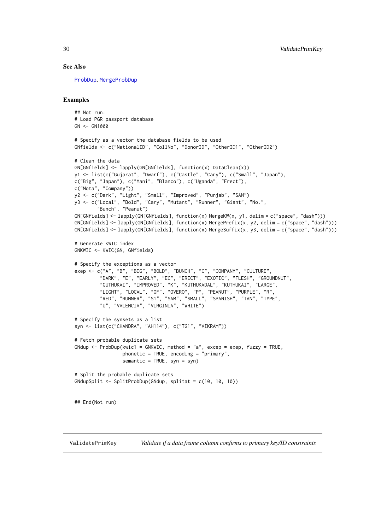## <span id="page-29-0"></span>See Also

[ProbDup](#page-17-1), [MergeProbDup](#page-13-1)

#### Examples

```
## Not run:
# Load PGR passport database
GN < - GN1000
# Specify as a vector the database fields to be used
GNfields <- c("NationalID", "CollNo", "DonorID", "OtherID1", "OtherID2")
# Clean the data
GN[GNfields] <- lapply(GN[GNfields], function(x) DataClean(x))
y1 <- list(c("Gujarat", "Dwarf"), c("Castle", "Cary"), c("Small", "Japan"),
c("Big", "Japan"), c("Mani", "Blanco"), c("Uganda", "Erect"),
c("Mota", "Company"))
y2 <- c("Dark", "Light", "Small", "Improved", "Punjab", "SAM")
y3 <- c("Local", "Bold", "Cary", "Mutant", "Runner", "Giant", "No.",
        "Bunch", "Peanut")
GN[GNfields] <- lapply(GN[GNfields], function(x) MergeKW(x, y1, delim = c("space", "dash")))
GN[GNfields] <- lapply(GN[GNfields], function(x) MergePrefix(x, y2, delim = c("space", "dash")))
GN[GNfields] <- lapply(GN[GNfields], function(x) MergeSuffix(x, y3, delim = c("space", "dash")))
# Generate KWIC index
GNKWIC <- KWIC(GN, GNfields)
# Specify the exceptions as a vector
exep <- c("A", "B", "BIG", "BOLD", "BUNCH", "C", "COMPANY", "CULTURE",
         "DARK", "E", "EARLY", "EC", "ERECT", "EXOTIC", "FLESH", "GROUNDNUT",
         "GUTHUKAI", "IMPROVED", "K", "KUTHUKADAL", "KUTHUKAI", "LARGE",
         "LIGHT", "LOCAL", "OF", "OVERO", "P", "PEANUT", "PURPLE", "R",
         "RED", "RUNNER", "S1", "SAM", "SMALL", "SPANISH", "TAN", "TYPE",
         "U", "VALENCIA", "VIRGINIA", "WHITE")
# Specify the synsets as a list
syn <- list(c("CHANDRA", "AH114"), c("TG1", "VIKRAM"))
# Fetch probable duplicate sets
GNdup <- ProbDup(kwic1 = GNKWIC, method = "a", excep = exep, fuzzy = TRUE,
                 phonetic = TRUE, encoding = "primary",
                 semantic = TRUE, syn = syn)
# Split the probable duplicate sets
GNdupSplit <- SplitProbDup(GNdup, splitat = c(10, 10, 10))
## End(Not run)
```
ValidatePrimKey *Validate if a data frame column confirms to primary key/ID constraints*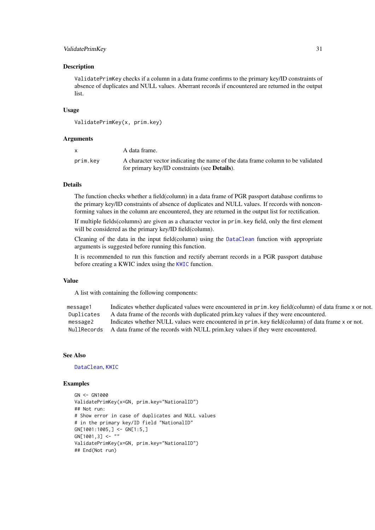#### <span id="page-30-0"></span>ValidatePrimKey 31

#### Description

ValidatePrimKey checks if a column in a data frame confirms to the primary key/ID constraints of absence of duplicates and NULL values. Aberrant records if encountered are returned in the output list.

#### Usage

```
ValidatePrimKey(x, prim.key)
```
#### Arguments

|          | A data frame.                                                                   |
|----------|---------------------------------------------------------------------------------|
| prim.key | A character vector indicating the name of the data frame column to be validated |
|          | for primary key/ID constraints (see <b>Details</b> ).                           |

#### **Details**

The function checks whether a field(column) in a data frame of PGR passport database confirms to the primary key/ID constraints of absence of duplicates and NULL values. If records with nonconforming values in the column are encountered, they are returned in the output list for rectification.

If multiple fields(columns) are given as a character vector in prim.key field, only the first element will be considered as the primary key/ID field(column).

Cleaning of the data in the input field(column) using the [DataClean](#page-3-1) function with appropriate arguments is suggested before running this function.

It is recommended to run this function and rectify aberrant records in a PGR passport database before creating a KWIC index using the [KWIC](#page-10-1) function.

# Value

A list with containing the following components:

message1 Indicates whether duplicated values were encountered in prim.key field(column) of data frame x or not. Duplicates A data frame of the records with duplicated prim.key values if they were encountered. message2 Indicates whether NULL values were encountered in prim.key field(column) of data frame x or not. NullRecords A data frame of the records with NULL prim.key values if they were encountered.

# See Also

[DataClean](#page-3-1), [KWIC](#page-10-1)

```
GN <- GN1000
ValidatePrimKey(x=GN, prim.key="NationalID")
## Not run:
# Show error in case of duplicates and NULL values
# in the primary key/ID field "NationalID"
GN[1001:1005, ] \leq GN[1:5,]
GN[1001,3] <- ""
ValidatePrimKey(x=GN, prim.key="NationalID")
## End(Not run)
```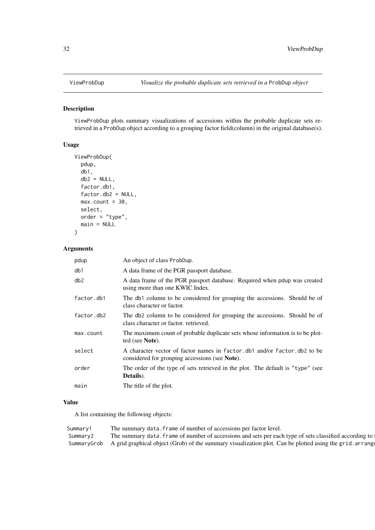# <span id="page-31-0"></span>Description

ViewProbDup plots summary visualizations of accessions within the probable duplicate sets retrieved in a ProbDup object according to a grouping factor field(column) in the original database(s).

# Usage

```
ViewProbDup(
  pdup,
  db1,
  db2 = NULL,factor.db1,
  factor.db2 = NULL,
  max.count = 30,select,
  order = "type",main = NULL
)
```
# Arguments

| pdup       | An object of class ProbDup.                                                                                                |
|------------|----------------------------------------------------------------------------------------------------------------------------|
| db1        | A data frame of the PGR passport database.                                                                                 |
| db2        | A data frame of the PGR passport database. Required when pdup was created<br>using more than one KWIC Index.               |
| factor.db1 | The db1 column to be considered for grouping the accessions. Should be of<br>class character or factor.                    |
| factor.db2 | The db2 column to be considered for grouping the accessions. Should be of<br>class character or factor, retrieved.         |
| max.count  | The maximum count of probable duplicate sets whose information is to be plot-<br>ted (see Note).                           |
| select     | A character vector of factor names in factor db1 and/or factor db2 to be<br>considered for grouping accessions (see Note). |
| order      | The order of the type of sets retrieved in the plot. The default is "type" (see<br>Details).                               |
| main       | The title of the plot.                                                                                                     |

# Value

A list containing the following objects:

| Summary1 | The summary data, frame of number of accessions per factor level.                                                    |
|----------|----------------------------------------------------------------------------------------------------------------------|
| Summary2 | The summary data. frame of number of accessions and sets per each type of sets classified according to a             |
|          | SummaryGrob A grid graphical object (Grob) of the summary visualization plot. Can be plotted using the grid. arrange |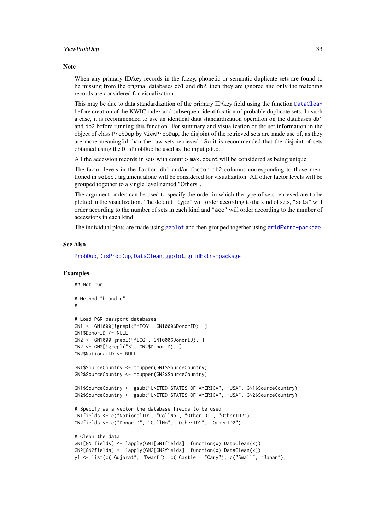#### <span id="page-32-0"></span>ViewProbDup 33

#### Note

When any primary ID/key records in the fuzzy, phonetic or semantic duplicate sets are found to be missing from the original databases db1 and db2, then they are ignored and only the matching records are considered for visualization.

This may be due to data standardization of the primary ID/key field using the function [DataClean](#page-3-1) before creation of the KWIC index and subsequent identification of probable duplicate sets. In such a case, it is recommended to use an identical data standardization operation on the databases db1 and db2 before running this function. For summary and visualization of the set information in the object of class ProbDup by ViewProbDup, the disjoint of the retrieved sets are made use of, as they are more meaningful than the raw sets retrieved. So it is recommended that the disjoint of sets obtained using the DisProbDup be used as the input pdup.

All the accession records in sets with count > max.count will be considered as being unique.

The factor levels in the factor.db1 and/or factor.db2 columns corresponding to those mentioned in select argument alone will be considered for visualization. All other factor levels will be grouped together to a single level named "Others".

The argument order can be used to specify the order in which the type of sets retrieved are to be plotted in the visualization. The default "type" will order according to the kind of sets, "sets" will order according to the number of sets in each kind and "acc" will order according to the number of accessions in each kind.

The individual plots are made using [ggplot](#page-0-0) and then grouped together using [gridExtra-package](#page-0-0).

### See Also

[ProbDup](#page-17-1), [DisProbDup](#page-5-1), [DataClean](#page-3-1), [ggplot](#page-0-0), [gridExtra-package](#page-0-0)

```
## Not run:
# Method "b and c"
#=================
# Load PGR passport databases
GN1 <- GN1000[!grepl("^ICG", GN1000$DonorID), ]
GN1$DonorID <- NULL
GN2 <- GN1000[grepl("^ICG", GN1000$DonorID), ]
GN2 <- GN2[!grepl("S", GN2$DonorID), ]
GN2$NationalID <- NULL
GN1$SourceCountry <- toupper(GN1$SourceCountry)
GN2$SourceCountry <- toupper(GN2$SourceCountry)
GN1$SourceCountry <- gsub("UNITED STATES OF AMERICA", "USA", GN1$SourceCountry)
GN2$SourceCountry <- gsub("UNITED STATES OF AMERICA", "USA", GN2$SourceCountry)
# Specify as a vector the database fields to be used
GN1fields <- c("NationalID", "CollNo", "OtherID1", "OtherID2")
GN2fields <- c("DonorID", "CollNo", "OtherID1", "OtherID2")
# Clean the data
GN1[GN1fields] <- lapply(GN1[GN1fields], function(x) DataClean(x))
GN2[GN2fields] <- lapply(GN2[GN2fields], function(x) DataClean(x))
y1 <- list(c("Gujarat", "Dwarf"), c("Castle", "Cary"), c("Small", "Japan"),
```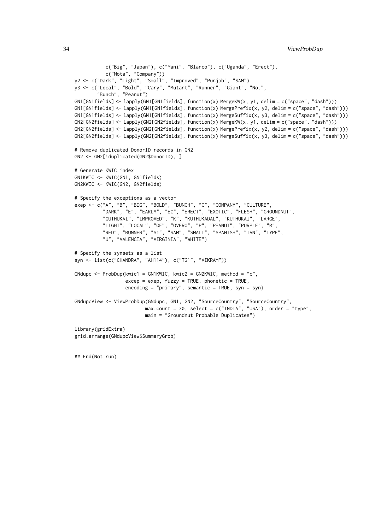```
c("Big", "Japan"), c("Mani", "Blanco"), c("Uganda", "Erect"),
           c("Mota", "Company"))
y2 <- c("Dark", "Light", "Small", "Improved", "Punjab", "SAM")
y3 <- c("Local", "Bold", "Cary", "Mutant", "Runner", "Giant", "No.",
        "Bunch", "Peanut")
GN1[GN1fields] <- lapply(GN1[GN1fields], function(x) MergeKW(x, y1, delim = c("space", "dash")))
GN1[GN1fields] <- lapply(GN1[GN1fields], function(x) MergePrefix(x, y2, delim = c("space", "dash")))
GN1[GN1fields] <- lapply(GN1[GN1fields], function(x) MergeSuffix(x, y3, delim = c("space", "dash")))
GN2[GN2fields] <- lapply(GN2[GN2fields], function(x) MergeKW(x, y1, delim = c("space", "dash")))
GN2[GN2fields] <- lapply(GN2[GN2fields], function(x) MergePrefix(x, y2, delim = c("space", "dash")))
GN2[GN2fields] <- lapply(GN2[GN2fields], function(x) MergeSuffix(x, y3, delim = c("space", "dash")))
# Remove duplicated DonorID records in GN2
GN2 <- GN2[!duplicated(GN2$DonorID), ]
# Generate KWIC index
GN1KWIC <- KWIC(GN1, GN1fields)
GN2KWIC <- KWIC(GN2, GN2fields)
# Specify the exceptions as a vector
exep <- c("A", "B", "BIG", "BOLD", "BUNCH", "C", "COMPANY", "CULTURE",
          "DARK", "E", "EARLY", "EC", "ERECT", "EXOTIC", "FLESH", "GROUNDNUT",
          "GUTHUKAI", "IMPROVED", "K", "KUTHUKADAL", "KUTHUKAI", "LARGE",
          "LIGHT", "LOCAL", "OF", "OVERO", "P", "PEANUT", "PURPLE", "R",
          "RED", "RUNNER", "S1", "SAM", "SMALL", "SPANISH", "TAN", "TYPE",
          "U", "VALENCIA", "VIRGINIA", "WHITE")
# Specify the synsets as a list
syn <- list(c("CHANDRA", "AH114"), c("TG1", "VIKRAM"))
GNdupc \leq ProbDup(kwic1 = GN1KWIC, kwic2 = GN2KWIC, method = "c",
                  excep = exep, fuzzy = TRUE, phonetic = TRUE,
                  encoding = "primary", semantic = TRUE, syn = syn)
GNdupcView <- ViewProbDup(GNdupc, GN1, GN2, "SourceCountry", "SourceCountry",
                         max.count = 30, select = c("INDIA", "USA"), order = "type",
                         main = "Groundnut Probable Duplicates")
library(gridExtra)
grid.arrange(GNdupcView$SummaryGrob)
```
## End(Not run)